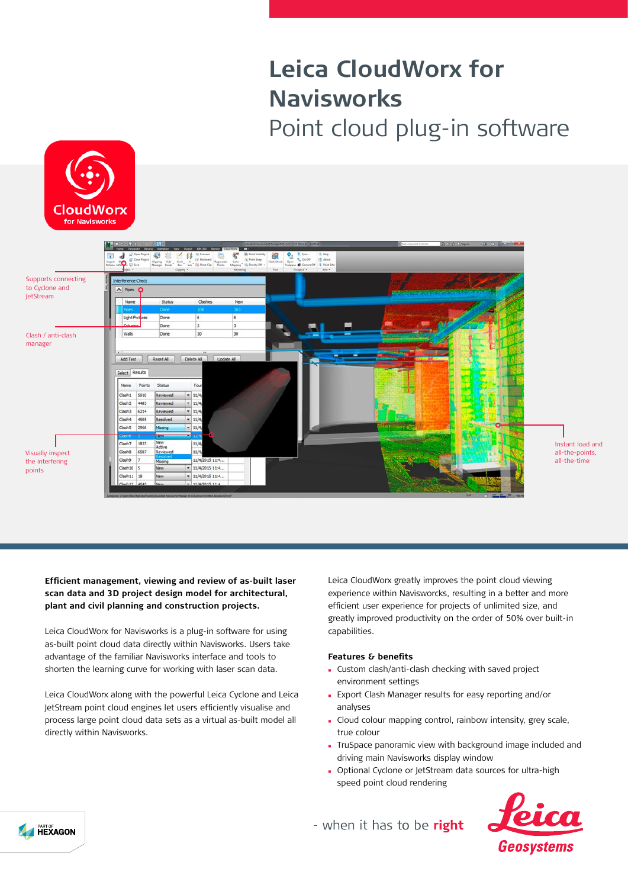# **Leica CloudWorx for Navisworks** Point cloud plug-in software





Instant load and all-the-points, all-the-time

**Efficient management, viewing and review of as-built laser scan data and 3D project design model for architectural, plant and civil planning and construction projects.**

Leica CloudWorx for Navisworks is a plug-in software for using as-built point cloud data directly within Navisworks. Users take advantage of the familiar Navisworks interface and tools to shorten the learning curve for working with laser scan data.

Leica CloudWorx along with the powerful Leica Cyclone and Leica JetStream point cloud engines let users efficiently visualise and process large point cloud data sets as a virtual as-built model all directly within Navisworks.

Leica CloudWorx greatly improves the point cloud viewing experience within Navisworcks, resulting in a better and more efficient user experience for projects of unlimited size, and greatly improved productivity on the order of 50% over built-in capabilities.

## **Features & benefits**

- <sup>n</sup> Custom clash/anti-clash checking with saved project environment settings
- <sup>n</sup> Export Clash Manager results for easy reporting and/or analyses
- **c** Cloud colour mapping control, rainbow intensity, grey scale, true colour
- <sup>n</sup> TruSpace panoramic view with background image included and driving main Navisworks display window
- <sup>n</sup> Optional Cyclone or JetStream data sources for ultra-high speed point cloud rendering



- when it has to be right